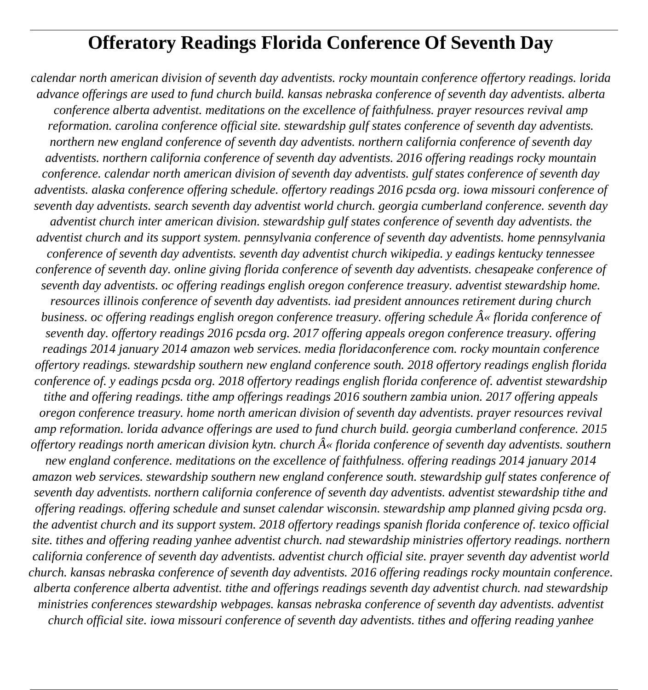# **Offeratory Readings Florida Conference Of Seventh Day**

*calendar north american division of seventh day adventists. rocky mountain conference offertory readings. lorida advance offerings are used to fund church build. kansas nebraska conference of seventh day adventists. alberta conference alberta adventist. meditations on the excellence of faithfulness. prayer resources revival amp reformation. carolina conference official site. stewardship gulf states conference of seventh day adventists. northern new england conference of seventh day adventists. northern california conference of seventh day adventists. northern california conference of seventh day adventists. 2016 offering readings rocky mountain conference. calendar north american division of seventh day adventists. gulf states conference of seventh day adventists. alaska conference offering schedule. offertory readings 2016 pcsda org. iowa missouri conference of seventh day adventists. search seventh day adventist world church. georgia cumberland conference. seventh day adventist church inter american division. stewardship gulf states conference of seventh day adventists. the adventist church and its support system. pennsylvania conference of seventh day adventists. home pennsylvania conference of seventh day adventists. seventh day adventist church wikipedia. y eadings kentucky tennessee conference of seventh day. online giving florida conference of seventh day adventists. chesapeake conference of seventh day adventists. oc offering readings english oregon conference treasury. adventist stewardship home. resources illinois conference of seventh day adventists. iad president announces retirement during church business, oc offering readings english oregon conference treasury, offering schedule*  $\hat{A}$ *« florida conference of seventh day. offertory readings 2016 pcsda org. 2017 offering appeals oregon conference treasury. offering readings 2014 january 2014 amazon web services. media floridaconference com. rocky mountain conference offertory readings. stewardship southern new england conference south. 2018 offertory readings english florida conference of. y eadings pcsda org. 2018 offertory readings english florida conference of. adventist stewardship tithe and offering readings. tithe amp offerings readings 2016 southern zambia union. 2017 offering appeals oregon conference treasury. home north american division of seventh day adventists. prayer resources revival amp reformation. lorida advance offerings are used to fund church build. georgia cumberland conference. 2015 offertory readings north american division kytn. church*  $\hat{A}$ *« florida conference of seventh day adventists. southern new england conference. meditations on the excellence of faithfulness. offering readings 2014 january 2014 amazon web services. stewardship southern new england conference south. stewardship gulf states conference of seventh day adventists. northern california conference of seventh day adventists. adventist stewardship tithe and*

*offering readings. offering schedule and sunset calendar wisconsin. stewardship amp planned giving pcsda org. the adventist church and its support system. 2018 offertory readings spanish florida conference of. texico official site. tithes and offering reading yanhee adventist church. nad stewardship ministries offertory readings. northern california conference of seventh day adventists. adventist church official site. prayer seventh day adventist world church. kansas nebraska conference of seventh day adventists. 2016 offering readings rocky mountain conference. alberta conference alberta adventist. tithe and offerings readings seventh day adventist church. nad stewardship ministries conferences stewardship webpages. kansas nebraska conference of seventh day adventists. adventist church official site. iowa missouri conference of seventh day adventists. tithes and offering reading yanhee*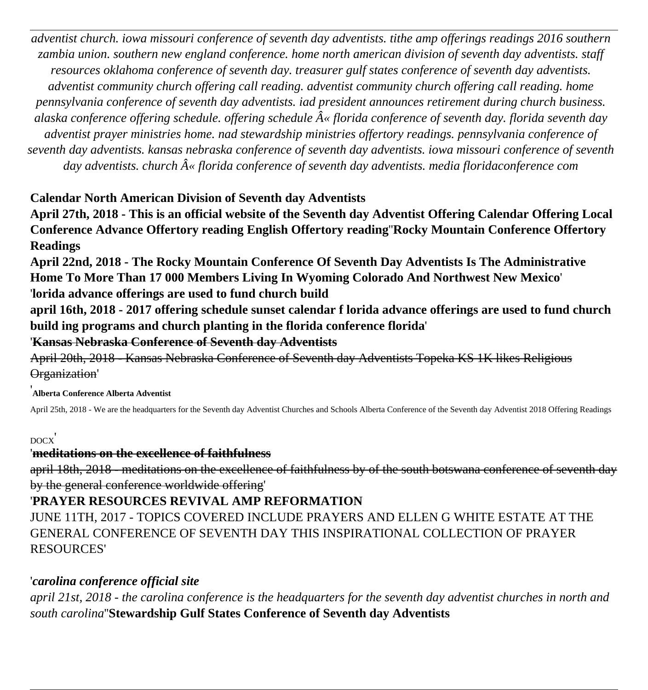*adventist church. iowa missouri conference of seventh day adventists. tithe amp offerings readings 2016 southern zambia union. southern new england conference. home north american division of seventh day adventists. staff resources oklahoma conference of seventh day. treasurer gulf states conference of seventh day adventists. adventist community church offering call reading. adventist community church offering call reading. home pennsylvania conference of seventh day adventists. iad president announces retirement during church business.* alaska conference offering schedule. offering schedule  $\hat{A}$ « florida conference of seventh day. florida seventh day *adventist prayer ministries home. nad stewardship ministries offertory readings. pennsylvania conference of seventh day adventists. kansas nebraska conference of seventh day adventists. iowa missouri conference of seventh* day adventists. church  $\hat{A}$ « florida conference of seventh day adventists. media floridaconference com

### **Calendar North American Division of Seventh day Adventists**

**April 27th, 2018 - This is an official website of the Seventh day Adventist Offering Calendar Offering Local Conference Advance Offertory reading English Offertory reading**''**Rocky Mountain Conference Offertory Readings**

**April 22nd, 2018 - The Rocky Mountain Conference Of Seventh Day Adventists Is The Administrative Home To More Than 17 000 Members Living In Wyoming Colorado And Northwest New Mexico**' '**lorida advance offerings are used to fund church build**

**april 16th, 2018 - 2017 offering schedule sunset calendar f lorida advance offerings are used to fund church build ing programs and church planting in the florida conference florida**'

'**Kansas Nebraska Conference of Seventh day Adventists**

April 20th, 2018 - Kansas Nebraska Conference of Seventh day Adventists Topeka KS 1K likes Religious Organization'

#### '**Alberta Conference Alberta Adventist**

April 25th, 2018 - We are the headquarters for the Seventh day Adventist Churches and Schools Alberta Conference of the Seventh day Adventist 2018 Offering Readings

#### DOCX'

#### '**meditations on the excellence of faithfulness**

april 18th, 2018 - meditations on the excellence of faithfulness by of the south botswana conference of seventh day by the general conference worldwide offering'

## '**PRAYER RESOURCES REVIVAL AMP REFORMATION**

JUNE 11TH, 2017 - TOPICS COVERED INCLUDE PRAYERS AND ELLEN G WHITE ESTATE AT THE GENERAL CONFERENCE OF SEVENTH DAY THIS INSPIRATIONAL COLLECTION OF PRAYER RESOURCES'

### '*carolina conference official site*

*april 21st, 2018 - the carolina conference is the headquarters for the seventh day adventist churches in north and south carolina*''**Stewardship Gulf States Conference of Seventh day Adventists**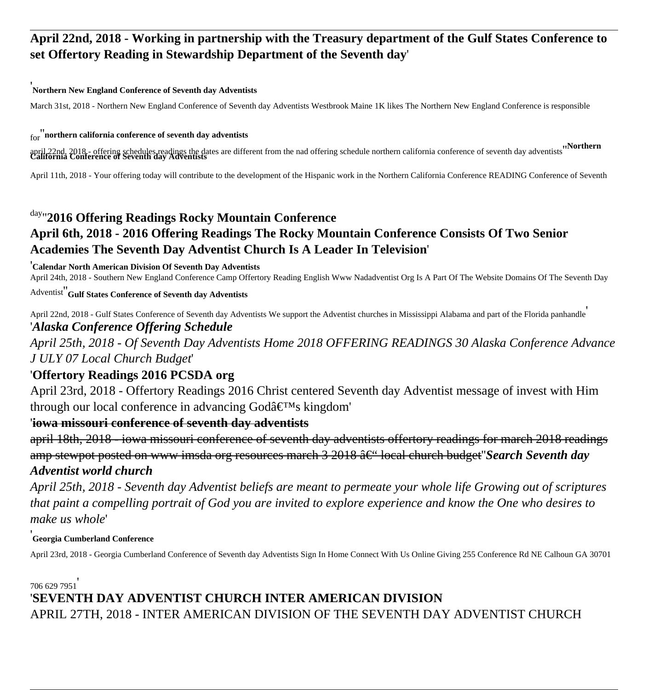## **April 22nd, 2018 - Working in partnership with the Treasury department of the Gulf States Conference to set Offertory Reading in Stewardship Department of the Seventh day**'

#### '**Northern New England Conference of Seventh day Adventists**

March 31st, 2018 - Northern New England Conference of Seventh day Adventists Westbrook Maine 1K likes The Northern New England Conference is responsible

#### for''**northern california conference of seventh day adventists**

april 22nd, 2018 - offering schedules readings the dates are different from the nad offering schedule northern california conference of seventh day adventists "Northern"

April 11th, 2018 - Your offering today will contribute to the development of the Hispanic work in the Northern California Conference READING Conference of Seventh

## day''**2016 Offering Readings Rocky Mountain Conference April 6th, 2018 - 2016 Offering Readings The Rocky Mountain Conference Consists Of Two Senior Academies The Seventh Day Adventist Church Is A Leader In Television**'

#### '**Calendar North American Division Of Seventh Day Adventists**

April 24th, 2018 - Southern New England Conference Camp Offertory Reading English Www Nadadventist Org Is A Part Of The Website Domains Of The Seventh Day

Adventist''**Gulf States Conference of Seventh day Adventists**

April 22nd, 2018 - Gulf States Conference of Seventh day Adventists We support the Adventist churches in Mississippi Alabama and part of the Florida panhandle' '*Alaska Conference Offering Schedule*

*April 25th, 2018 - Of Seventh Day Adventists Home 2018 OFFERING READINGS 30 Alaska Conference Advance J ULY 07 Local Church Budget*'

#### '**Offertory Readings 2016 PCSDA org**

April 23rd, 2018 - Offertory Readings 2016 Christ centered Seventh day Adventist message of invest with Him through our local conference in advancing God's kingdom'

#### '**iowa missouri conference of seventh day adventists**

april 18th, 2018 - iowa missouri conference of seventh day adventists offertory readings for march 2018 readings amp stewpot posted on www imsda org resources march 3 2018  $\hat{a} \in$ " local church budget'*Search Seventh day Adventist world church*

*April 25th, 2018 - Seventh day Adventist beliefs are meant to permeate your whole life Growing out of scriptures that paint a compelling portrait of God you are invited to explore experience and know the One who desires to make us whole*'

#### '**Georgia Cumberland Conference**

April 23rd, 2018 - Georgia Cumberland Conference of Seventh day Adventists Sign In Home Connect With Us Online Giving 255 Conference Rd NE Calhoun GA 30701

706 629 7951' '**SEVENTH DAY ADVENTIST CHURCH INTER AMERICAN DIVISION** APRIL 27TH, 2018 - INTER AMERICAN DIVISION OF THE SEVENTH DAY ADVENTIST CHURCH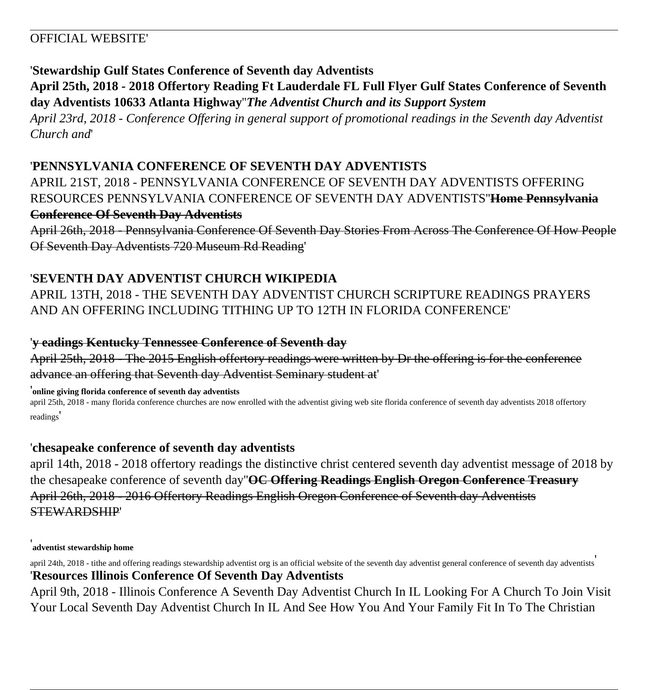## OFFICIAL WEBSITE'

### '**Stewardship Gulf States Conference of Seventh day Adventists**

**April 25th, 2018 - 2018 Offertory Reading Ft Lauderdale FL Full Flyer Gulf States Conference of Seventh day Adventists 10633 Atlanta Highway**''*The Adventist Church and its Support System*

*April 23rd, 2018 - Conference Offering in general support of promotional readings in the Seventh day Adventist Church and*'

## '**PENNSYLVANIA CONFERENCE OF SEVENTH DAY ADVENTISTS**

APRIL 21ST, 2018 - PENNSYLVANIA CONFERENCE OF SEVENTH DAY ADVENTISTS OFFERING RESOURCES PENNSYLVANIA CONFERENCE OF SEVENTH DAY ADVENTISTS''**Home Pennsylvania Conference Of Seventh Day Adventists**

April 26th, 2018 - Pennsylvania Conference Of Seventh Day Stories From Across The Conference Of How People Of Seventh Day Adventists 720 Museum Rd Reading'

## '**SEVENTH DAY ADVENTIST CHURCH WIKIPEDIA**

APRIL 13TH, 2018 - THE SEVENTH DAY ADVENTIST CHURCH SCRIPTURE READINGS PRAYERS AND AN OFFERING INCLUDING TITHING UP TO 12TH IN FLORIDA CONFERENCE'

#### '**y eadings Kentucky Tennessee Conference of Seventh day**

April 25th, 2018 - The 2015 English offertory readings were written by Dr the offering is for the conference advance an offering that Seventh day Adventist Seminary student at'

'**online giving florida conference of seventh day adventists**

april 25th, 2018 - many florida conference churches are now enrolled with the adventist giving web site florida conference of seventh day adventists 2018 offertory readings'

### '**chesapeake conference of seventh day adventists**

april 14th, 2018 - 2018 offertory readings the distinctive christ centered seventh day adventist message of 2018 by the chesapeake conference of seventh day''**OC Offering Readings English Oregon Conference Treasury** April 26th, 2018 - 2016 Offertory Readings English Oregon Conference of Seventh day Adventists STEWARDSHIP'

#### '**adventist stewardship home**

april 24th, 2018 - tithe and offering readings stewardship adventist org is an official website of the seventh day adventist general conference of seventh day adventists '**Resources Illinois Conference Of Seventh Day Adventists**

April 9th, 2018 - Illinois Conference A Seventh Day Adventist Church In IL Looking For A Church To Join Visit Your Local Seventh Day Adventist Church In IL And See How You And Your Family Fit In To The Christian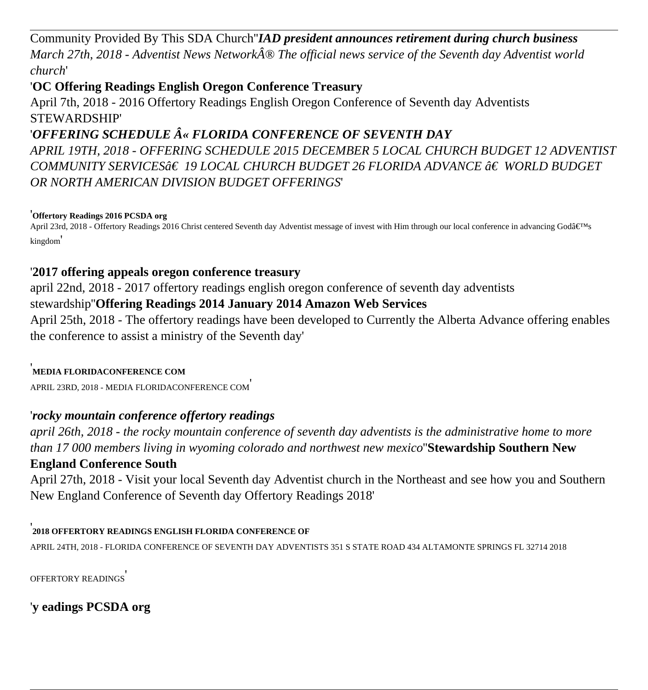Community Provided By This SDA Church''*IAD president announces retirement during church business March 27th, 2018 - Adventist News Network® The official news service of the Seventh day Adventist world church*'

## '**OC Offering Readings English Oregon Conference Treasury**

April 7th, 2018 - 2016 Offertory Readings English Oregon Conference of Seventh day Adventists STEWARDSHIP'

## '*OFFERING SCHEDULE « FLORIDA CONFERENCE OF SEVENTH DAY*

*APRIL 19TH, 2018 - OFFERING SCHEDULE 2015 DECEMBER 5 LOCAL CHURCH BUDGET 12 ADVENTIST* COMMUNITY SERVICES*â€* 19 LOCAL CHURCH BUDGET 26 FLORIDA ADVANCE †WORLD BUDGET *OR NORTH AMERICAN DIVISION BUDGET OFFERINGS*'

#### '**Offertory Readings 2016 PCSDA org**

April 23rd, 2018 - Offertory Readings 2016 Christ centered Seventh day Adventist message of invest with Him through our local conference in advancing God's kingdom'

## '**2017 offering appeals oregon conference treasury**

april 22nd, 2018 - 2017 offertory readings english oregon conference of seventh day adventists

## stewardship''**Offering Readings 2014 January 2014 Amazon Web Services**

April 25th, 2018 - The offertory readings have been developed to Currently the Alberta Advance offering enables the conference to assist a ministry of the Seventh day'

#### '**MEDIA FLORIDACONFERENCE COM**

APRIL 23RD, 2018 - MEDIA FLORIDACONFERENCE COM'

## '*rocky mountain conference offertory readings*

*april 26th, 2018 - the rocky mountain conference of seventh day adventists is the administrative home to more than 17 000 members living in wyoming colorado and northwest new mexico*''**Stewardship Southern New England Conference South**

April 27th, 2018 - Visit your local Seventh day Adventist church in the Northeast and see how you and Southern New England Conference of Seventh day Offertory Readings 2018'

#### '**2018 OFFERTORY READINGS ENGLISH FLORIDA CONFERENCE OF**

APRIL 24TH, 2018 - FLORIDA CONFERENCE OF SEVENTH DAY ADVENTISTS 351 S STATE ROAD 434 ALTAMONTE SPRINGS FL 32714 2018

OFFERTORY READINGS'

'**y eadings PCSDA org**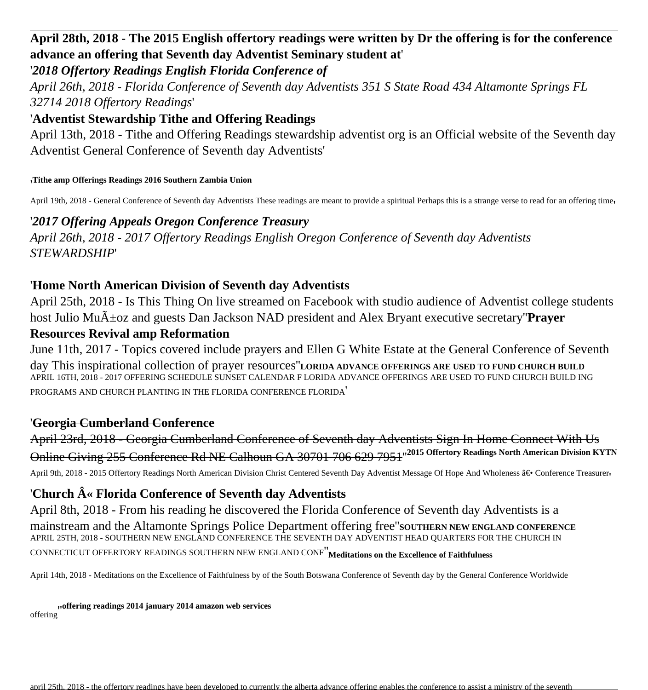## **April 28th, 2018 - The 2015 English offertory readings were written by Dr the offering is for the conference advance an offering that Seventh day Adventist Seminary student at**'

#### '*2018 Offertory Readings English Florida Conference of*

*April 26th, 2018 - Florida Conference of Seventh day Adventists 351 S State Road 434 Altamonte Springs FL 32714 2018 Offertory Readings*'

#### '**Adventist Stewardship Tithe and Offering Readings**

April 13th, 2018 - Tithe and Offering Readings stewardship adventist org is an Official website of the Seventh day Adventist General Conference of Seventh day Adventists'

#### '**Tithe amp Offerings Readings 2016 Southern Zambia Union**

April 19th, 2018 - General Conference of Seventh day Adventists These readings are meant to provide a spiritual Perhaps this is a strange verse to read for an offering time,

#### '*2017 Offering Appeals Oregon Conference Treasury*

*April 26th, 2018 - 2017 Offertory Readings English Oregon Conference of Seventh day Adventists STEWARDSHIP*'

#### '**Home North American Division of Seventh day Adventists**

April 25th, 2018 - Is This Thing On live streamed on Facebook with studio audience of Adventist college students host Julio Mu $\tilde{A}$ +oz and guests Dan Jackson NAD president and Alex Bryant executive secretary"**Prayer** 

#### **Resources Revival amp Reformation**

June 11th, 2017 - Topics covered include prayers and Ellen G White Estate at the General Conference of Seventh day This inspirational collection of prayer resources''**LORIDA ADVANCE OFFERINGS ARE USED TO FUND CHURCH BUILD** APRIL 16TH, 2018 - 2017 OFFERING SCHEDULE SUNSET CALENDAR F LORIDA ADVANCE OFFERINGS ARE USED TO FUND CHURCH BUILD ING PROGRAMS AND CHURCH PLANTING IN THE FLORIDA CONFERENCE FLORIDA'

#### '**Georgia Cumberland Conference**

April 23rd, 2018 - Georgia Cumberland Conference of Seventh day Adventists Sign In Home Connect With Us Online Giving 255 Conference Rd NE Calhoun GA 30701 706 629 7951''**2015 Offertory Readings North American Division KYTN** April 9th, 2018 - 2015 Offertory Readings North American Division Christ Centered Seventh Day Adventist Message Of Hope And Wholeness ― Conference Treasurer

### 'Church  $\hat{A}$ « Florida Conference of Seventh day Adventists

April 8th, 2018 - From his reading he discovered the Florida Conference of Seventh day Adventists is a mainstream and the Altamonte Springs Police Department offering free''**SOUTHERN NEW ENGLAND CONFERENCE** APRIL 25TH, 2018 - SOUTHERN NEW ENGLAND CONFERENCE THE SEVENTH DAY ADVENTIST HEAD QUARTERS FOR THE CHURCH IN CONNECTICUT OFFERTORY READINGS SOUTHERN NEW ENGLAND CONF''**Meditations on the Excellence of Faithfulness**

April 14th, 2018 - Meditations on the Excellence of Faithfulness by of the South Botswana Conference of Seventh day by the General Conference Worldwide

offering''**offering readings 2014 january 2014 amazon web services**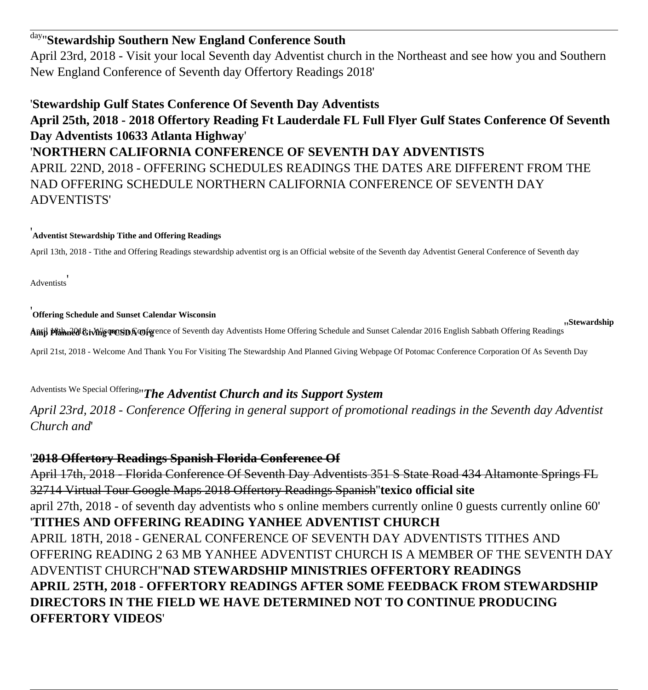# day''**Stewardship Southern New England Conference South**

April 23rd, 2018 - Visit your local Seventh day Adventist church in the Northeast and see how you and Southern New England Conference of Seventh day Offertory Readings 2018'

## '**Stewardship Gulf States Conference Of Seventh Day Adventists**

## **April 25th, 2018 - 2018 Offertory Reading Ft Lauderdale FL Full Flyer Gulf States Conference Of Seventh Day Adventists 10633 Atlanta Highway**' '**NORTHERN CALIFORNIA CONFERENCE OF SEVENTH DAY ADVENTISTS** APRIL 22ND, 2018 - OFFERING SCHEDULES READINGS THE DATES ARE DIFFERENT FROM THE NAD OFFERING SCHEDULE NORTHERN CALIFORNIA CONFERENCE OF SEVENTH DAY ADVENTISTS'

#### '**Adventist Stewardship Tithe and Offering Readings**

April 13th, 2018 - Tithe and Offering Readings stewardship adventist org is an Official website of the Seventh day Adventist General Conference of Seventh day

**Adventists** 

#### '**Offering Schedule and Sunset Calendar Wisconsin**

**Anril Planned Giving POSIDA Orgetsion** of Seventh day Adventists Home Offering Schedule and Sunset Calendar 2016 English Sabbath Offering Readings (Stewardship

April 21st, 2018 - Welcome And Thank You For Visiting The Stewardship And Planned Giving Webpage Of Potomac Conference Corporation Of As Seventh Day

# Adventists We Special Offering''*The Adventist Church and its Support System*

*April 23rd, 2018 - Conference Offering in general support of promotional readings in the Seventh day Adventist Church and*'

#### '**2018 Offertory Readings Spanish Florida Conference Of**

April 17th, 2018 - Florida Conference Of Seventh Day Adventists 351 S State Road 434 Altamonte Springs FL 32714 Virtual Tour Google Maps 2018 Offertory Readings Spanish''**texico official site** april 27th, 2018 - of seventh day adventists who s online members currently online 0 guests currently online 60' '**TITHES AND OFFERING READING YANHEE ADVENTIST CHURCH** APRIL 18TH, 2018 - GENERAL CONFERENCE OF SEVENTH DAY ADVENTISTS TITHES AND OFFERING READING 2 63 MB YANHEE ADVENTIST CHURCH IS A MEMBER OF THE SEVENTH DAY ADVENTIST CHURCH''**NAD STEWARDSHIP MINISTRIES OFFERTORY READINGS APRIL 25TH, 2018 - OFFERTORY READINGS AFTER SOME FEEDBACK FROM STEWARDSHIP DIRECTORS IN THE FIELD WE HAVE DETERMINED NOT TO CONTINUE PRODUCING OFFERTORY VIDEOS**'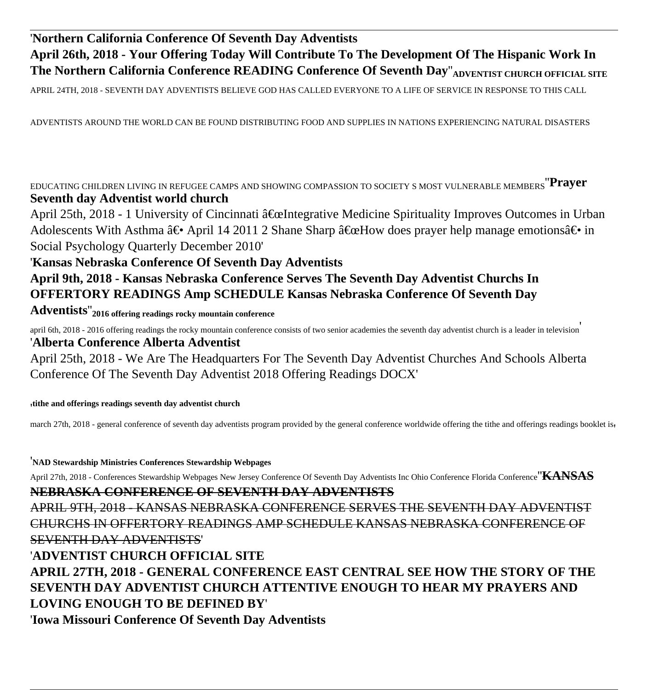## '**Northern California Conference Of Seventh Day Adventists April 26th, 2018 - Your Offering Today Will Contribute To The Development Of The Hispanic Work In The Northern California Conference READING Conference Of Seventh Day" ADVENTIST CHURCH OFFICIAL SITE**

APRIL 24TH, 2018 - SEVENTH DAY ADVENTISTS BELIEVE GOD HAS CALLED EVERYONE TO A LIFE OF SERVICE IN RESPONSE TO THIS CALL

ADVENTISTS AROUND THE WORLD CAN BE FOUND DISTRIBUTING FOOD AND SUPPLIES IN NATIONS EXPERIENCING NATURAL DISASTERS

EDUCATING CHILDREN LIVING IN REFUGEE CAMPS AND SHOWING COMPASSION TO SOCIETY S MOST VULNERABLE MEMBERS''**Prayer Seventh day Adventist world church**

April 25th, 2018 - 1 University of Cincinnati "Integrative Medicine Spirituality Improves Outcomes in Urban Adolescents With Asthma  $\hat{a} \in \bullet$  April 14 2011 2 Shane Sharp  $\hat{a} \in \alpha$  How does prayer help manage emotions  $\hat{a} \in \bullet$  in Social Psychology Quarterly December 2010'

#### '**Kansas Nebraska Conference Of Seventh Day Adventists**

**April 9th, 2018 - Kansas Nebraska Conference Serves The Seventh Day Adventist Churchs In OFFERTORY READINGS Amp SCHEDULE Kansas Nebraska Conference Of Seventh Day**

**Adventists**''**2016 offering readings rocky mountain conference**

april 6th, 2018 - 2016 offering readings the rocky mountain conference consists of two senior academies the seventh day adventist church is a leader in television' '**Alberta Conference Alberta Adventist**

April 25th, 2018 - We Are The Headquarters For The Seventh Day Adventist Churches And Schools Alberta Conference Of The Seventh Day Adventist 2018 Offering Readings DOCX'

'**tithe and offerings readings seventh day adventist church**

march 27th, 2018 - general conference of seventh day adventists program provided by the general conference worldwide offering the tithe and offerings readings booklet is,

'**NAD Stewardship Ministries Conferences Stewardship Webpages**

April 27th, 2018 - Conferences Stewardship Webpages New Jersey Conference Of Seventh Day Adventists Inc Ohio Conference Florida Conference''**KANSAS NEBRASKA CONFERENCE OF SEVENTH DAY ADVENTISTS**

APRIL 9TH, 2018 - KANSAS NEBRASKA CONFERENCE SERVES THE SEVENTH DAY ADVENTIST CHURCHS IN OFFERTORY READINGS AMP SCHEDULE KANSAS NEBRASKA CONFERENCE OF SEVENTH DAY ADVENTISTS' '**ADVENTIST CHURCH OFFICIAL SITE**

**APRIL 27TH, 2018 - GENERAL CONFERENCE EAST CENTRAL SEE HOW THE STORY OF THE SEVENTH DAY ADVENTIST CHURCH ATTENTIVE ENOUGH TO HEAR MY PRAYERS AND LOVING ENOUGH TO BE DEFINED BY**' '**Iowa Missouri Conference Of Seventh Day Adventists**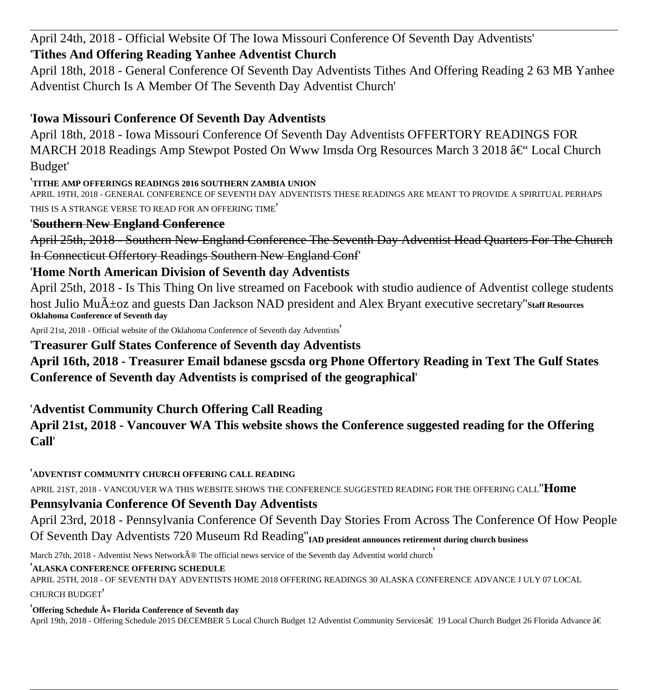April 24th, 2018 - Official Website Of The Iowa Missouri Conference Of Seventh Day Adventists'

## '**Tithes And Offering Reading Yanhee Adventist Church**

April 18th, 2018 - General Conference Of Seventh Day Adventists Tithes And Offering Reading 2 63 MB Yanhee Adventist Church Is A Member Of The Seventh Day Adventist Church'

## '**Iowa Missouri Conference Of Seventh Day Adventists**

April 18th, 2018 - Iowa Missouri Conference Of Seventh Day Adventists OFFERTORY READINGS FOR MARCH 2018 Readings Amp Stewpot Posted On Www Imsda Org Resources March 3 2018  $\hat{a} \in \mathcal{C}$  Local Church Budget'

'**TITHE AMP OFFERINGS READINGS 2016 SOUTHERN ZAMBIA UNION**

APRIL 19TH, 2018 - GENERAL CONFERENCE OF SEVENTH DAY ADVENTISTS THESE READINGS ARE MEANT TO PROVIDE A SPIRITUAL PERHAPS THIS IS A STRANGE VERSE TO READ FOR AN OFFERING TIME'

## '**Southern New England Conference**

April 25th, 2018 - Southern New England Conference The Seventh Day Adventist Head Quarters For The Church In Connecticut Offertory Readings Southern New England Conf'

## '**Home North American Division of Seventh day Adventists**

April 25th, 2018 - Is This Thing On live streamed on Facebook with studio audience of Adventist college students host Julio Mu $\tilde{A}$ ±oz and guests Dan Jackson NAD president and Alex Bryant executive secretary" Staff Resources **Oklahoma Conference of Seventh day**

April 21st, 2018 - Official website of the Oklahoma Conference of Seventh day Adventists'

## '**Treasurer Gulf States Conference of Seventh day Adventists**

**April 16th, 2018 - Treasurer Email bdanese gscsda org Phone Offertory Reading in Text The Gulf States Conference of Seventh day Adventists is comprised of the geographical**'

'**Adventist Community Church Offering Call Reading**

## **April 21st, 2018 - Vancouver WA This website shows the Conference suggested reading for the Offering Call**'

'**ADVENTIST COMMUNITY CHURCH OFFERING CALL READING**

APRIL 21ST, 2018 - VANCOUVER WA THIS WEBSITE SHOWS THE CONFERENCE SUGGESTED READING FOR THE OFFERING CALL''**Home**

## **Pennsylvania Conference Of Seventh Day Adventists**

April 23rd, 2018 - Pennsylvania Conference Of Seventh Day Stories From Across The Conference Of How People Of Seventh Day Adventists 720 Museum Rd Reading''**IAD president announces retirement during church business**

March 27th, 2018 - Adventist News Network® The official news service of the Seventh day Adventist world church

### '**ALASKA CONFERENCE OFFERING SCHEDULE**

APRIL 25TH, 2018 - OF SEVENTH DAY ADVENTISTS HOME 2018 OFFERING READINGS 30 ALASKA CONFERENCE ADVANCE J ULY 07 LOCAL CHURCH BUDGET'

<sup>'</sup>Offering Schedule  $\hat{A}$ « Florida Conference of Seventh day

April 19th, 2018 - Offering Schedule 2015 DECEMBER 5 Local Church Budget 12 Adventist Community Services†19 Local Church Budget 26 Florida Advance â€